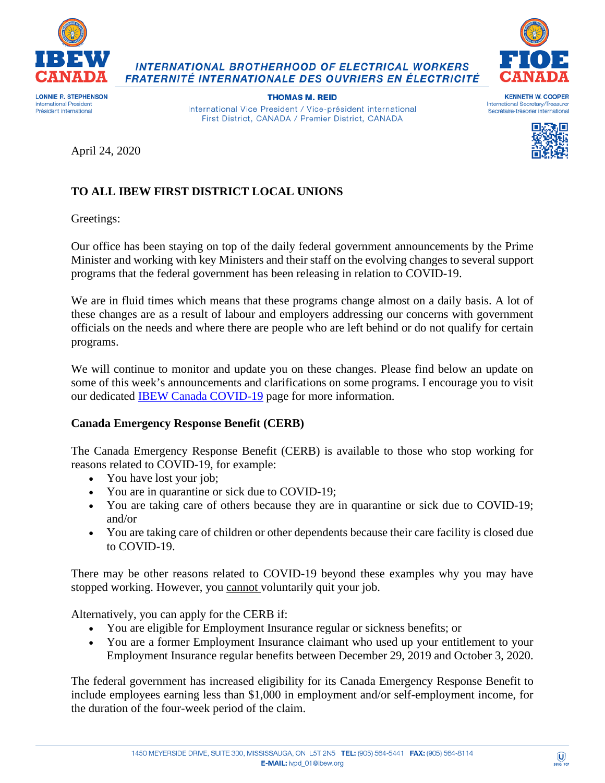

**INTERNATIONAL BROTHERHOOD OF ELECTRICAL WORKERS** FRATERNITÉ INTERNATIONALE DES OUVRIERS EN ÉLECTRICITÉ



**International President** Président international

**THOMAS M. REID** International Vice President / Vice-président international First District, CANADA / Premier District, CANADA

**KENNETH W. COOPER** International Secretary/Treasurer Secrétaire-trésorier international



April 24, 2020

# **TO ALL IBEW FIRST DISTRICT LOCAL UNIONS**

Greetings:

Our office has been staying on top of the daily federal government announcements by the Prime Minister and working with key Ministers and their staff on the evolving changes to several support programs that the federal government has been releasing in relation to COVID-19.

We are in fluid times which means that these programs change almost on a daily basis. A lot of these changes are as a result of labour and employers addressing our concerns with government officials on the needs and where there are people who are left behind or do not qualify for certain programs.

We will continue to monitor and update you on these changes. Please find below an update on some of this week's announcements and clarifications on some programs. I encourage you to visit our dedicated **IBEW Canada COVID-19** page for more information.

# **Canada Emergency Response Benefit (CERB)**

The Canada Emergency Response Benefit (CERB) is available to those who stop working for reasons related to COVID-19, for example:

- You have lost your job;
- You are in quarantine or sick due to COVID-19;
- You are taking care of others because they are in quarantine or sick due to COVID-19; and/or
- You are taking care of children or other dependents because their care facility is closed due to COVID-19.

There may be other reasons related to COVID-19 beyond these examples why you may have stopped working. However, you cannot voluntarily quit your job.

Alternatively, you can apply for the CERB if:

- You are eligible for Employment Insurance regular or sickness benefits; or
- You are a former Employment Insurance claimant who used up your entitlement to your Employment Insurance regular benefits between December 29, 2019 and October 3, 2020.

The federal government has increased eligibility for its Canada Emergency Response Benefit to include employees earning less than \$1,000 in employment and/or self-employment income, for the duration of the four-week period of the claim.

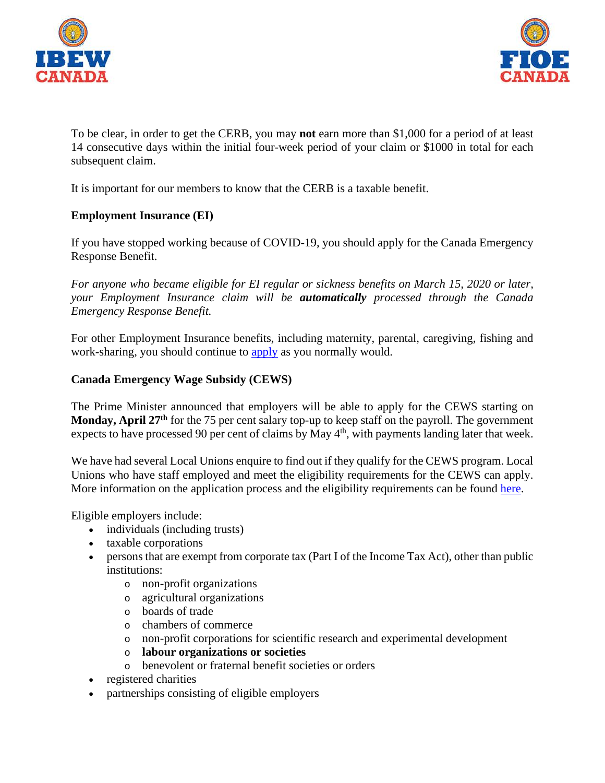



To be clear, in order to get the CERB, you may **not** earn more than \$1,000 for a period of at least 14 consecutive days within the initial four-week period of your claim or \$1000 in total for each subsequent claim.

It is important for our members to know that the CERB is a taxable benefit.

## **Employment Insurance (EI)**

If you have stopped working because of COVID-19, you should apply for the Canada Emergency Response Benefit.

*For anyone who became eligible for EI regular or sickness benefits on March 15, 2020 or later, your Employment Insurance claim will be automatically processed through the Canada Emergency Response Benefit.*

For other Employment Insurance benefits, including maternity, parental, caregiving, fishing and work-sharing, you should continue to [apply](https://www.canada.ca/en/services/benefits/ei.html) as you normally would.

#### **Canada Emergency Wage Subsidy (CEWS)**

The Prime Minister announced that employers will be able to apply for the CEWS starting on **Monday, April 27th** for the 75 per cent salary top-up to keep staff on the payroll. The government expects to have processed 90 per cent of claims by May  $4<sup>th</sup>$ , with payments landing later that week.

We have had several Local Unions enquire to find out if they qualify for the CEWS program. Local Unions who have staff employed and meet the eligibility requirements for the CEWS can apply. More information on the application process and the eligibility requirements can be found [here.](https://www.canada.ca/en/revenue-agency/services/subsidy/emergency-wage-subsidy.html)

Eligible employers include:

- individuals (including trusts)
- taxable corporations
- persons that are exempt from corporate tax (Part I of the Income Tax Act), other than public institutions:
	- o non-profit organizations
	- o agricultural organizations
	- o boards of trade
	- o chambers of commerce
	- o non-profit corporations for scientific research and experimental development
	- o **labour organizations or societies**
	- o benevolent or fraternal benefit societies or orders
- registered charities
- partnerships consisting of eligible employers